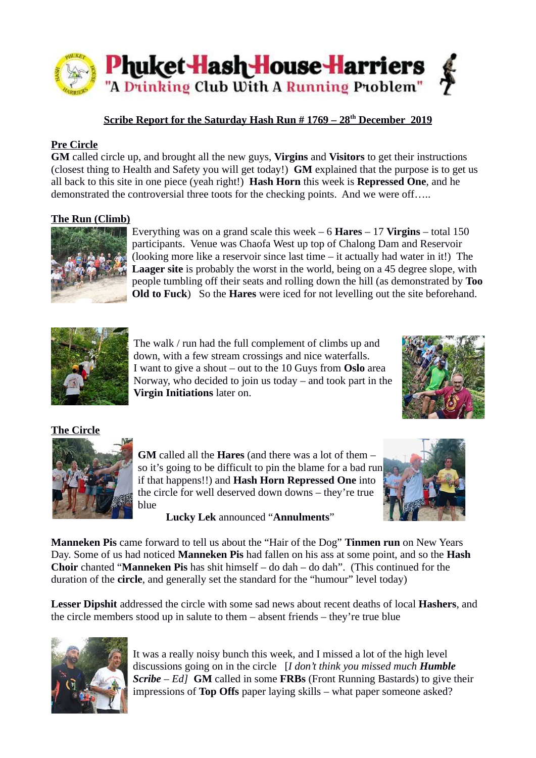

## **Scribe Report for the Saturday Hash Run # 1769 – 28th December 2019**

## **Pre Circle**

**GM** called circle up, and brought all the new guys, **Virgins** and **Visitors** to get their instructions (closest thing to Health and Safety you will get today!) **GM** explained that the purpose is to get us all back to this site in one piece (yeah right!) **Hash Horn** this week is **Repressed One**, and he demonstrated the controversial three toots for the checking points. And we were off…..

## **The Run (Climb)**



Everything was on a grand scale this week – 6 **Hares** – 17 **Virgins** – total 150 participants. Venue was Chaofa West up top of Chalong Dam and Reservoir (looking more like a reservoir since last time – it actually had water in it!) The **Laager site** is probably the worst in the world, being on a 45 degree slope, with people tumbling off their seats and rolling down the hill (as demonstrated by **Too Old to Fuck**) So the **Hares** were iced for not levelling out the site beforehand.



The walk / run had the full complement of climbs up and down, with a few stream crossings and nice waterfalls. I want to give a shout – out to the 10 Guys from **Oslo** area Norway, who decided to join us today – and took part in the **Virgin Initiations** later on.





**GM** called all the **Hares** (and there was a lot of them – so it's going to be difficult to pin the blame for a bad run if that happens!!) and **Hash Horn Repressed One** into the circle for well deserved down downs – they're true blue

**Lucky Lek** announced "**Annulments**"



**Manneken Pis** came forward to tell us about the "Hair of the Dog" **Tinmen run** on New Years Day. Some of us had noticed **Manneken Pis** had fallen on his ass at some point, and so the **Hash Choir** chanted "**Manneken Pis** has shit himself – do dah – do dah". (This continued for the duration of the **circle**, and generally set the standard for the "humour" level today)

**Lesser Dipshit** addressed the circle with some sad news about recent deaths of local **Hashers**, and the circle members stood up in salute to them – absent friends – they're true blue



It was a really noisy bunch this week, and I missed a lot of the high level discussions going on in the circle [*I don't think you missed much Humble Scribe – Ed]* **GM** called in some **FRBs** (Front Running Bastards) to give their impressions of **Top Offs** paper laying skills – what paper someone asked?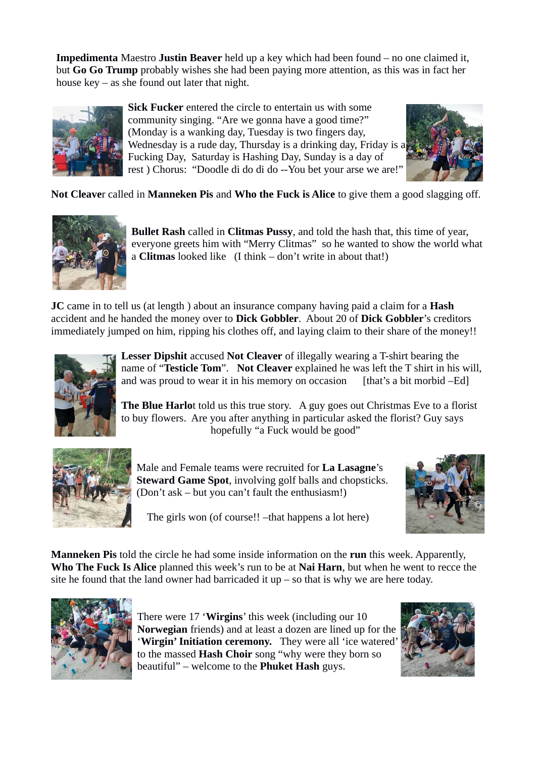**Impedimenta** Maestro **Justin Beaver** held up a key which had been found – no one claimed it, but **Go Go Trump** probably wishes she had been paying more attention, as this was in fact her house key – as she found out later that night.



**Sick Fucker** entered the circle to entertain us with some community singing. "Are we gonna have a good time?" (Monday is a wanking day, Tuesday is two fingers day, Wednesday is a rude day, Thursday is a drinking day, Friday is a Fucking Day, Saturday is Hashing Day, Sunday is a day of rest ) Chorus: "Doodle di do di do --You bet your arse we are!"



**Not Cleave**r called in **Manneken Pis** and **Who the Fuck is Alice** to give them a good slagging off.



**Bullet Rash** called in **Clitmas Pussy**, and told the hash that, this time of year, everyone greets him with "Merry Clitmas" so he wanted to show the world what a **Clitmas** looked like (I think – don't write in about that!)

**JC** came in to tell us (at length ) about an insurance company having paid a claim for a **Hash** accident and he handed the money over to **Dick Gobbler**. About 20 of **Dick Gobbler**'s creditors immediately jumped on him, ripping his clothes off, and laying claim to their share of the money!!



**Lesser Dipshit** accused **Not Cleaver** of illegally wearing a T-shirt bearing the name of "**Testicle Tom**". **Not Cleaver** explained he was left the T shirt in his will, and was proud to wear it in his memory on occasion  $[that's a bit morbid - Ed]$ 

**The Blue Harlo**t told us this true story. A guy goes out Christmas Eve to a florist to buy flowers. Are you after anything in particular asked the florist? Guy says hopefully "a Fuck would be good"



Male and Female teams were recruited for **La Lasagne**'s **Steward Game Spot**, involving golf balls and chopsticks. (Don't ask – but you can't fault the enthusiasm!)



The girls won (of course!! –that happens a lot here)

**Manneken Pis** told the circle he had some inside information on the **run** this week. Apparently, **Who The Fuck Is Alice** planned this week's run to be at **Nai Harn**, but when he went to recce the site he found that the land owner had barricaded it up  $-$  so that is why we are here today.



There were 17 '**Wirgins**' this week (including our 10 **Norwegian** friends) and at least a dozen are lined up for the 'Wirgin' Initiation ceremony. They were all 'ice watered to the massed **Hash Choir** song "why were they born so beautiful" – welcome to the **Phuket Hash** guys.